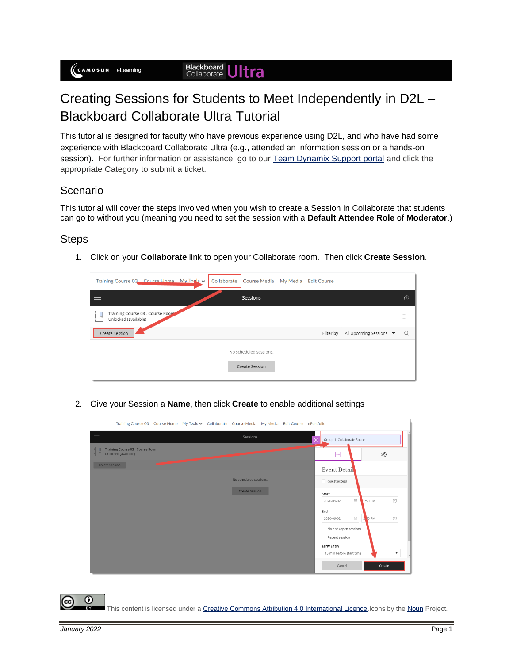## Creating Sessions for Students to Meet Independently in D2L – Blackboard Collaborate Ultra Tutorial

This tutorial is designed for faculty who have previous experience using D2L, and who have had some experience with Blackboard Collaborate Ultra (e.g., attended an information session or a hands-on session). For further information or assistance, go to our [Team Dynamix Support portal](https://camosun.teamdynamix.com/TDClient/67/Portal/Requests/ServiceCatalog?CategoryID=523) and click the appropriate Category to submit a ticket.

## Scenario

This tutorial will cover the steps involved when you wish to create a Session in Collaborate that students can go to without you (meaning you need to set the session with a **Default Attendee Role** of **Moderator**.)

## **Steps**

1. Click on your **Collaborate** link to open your Collaborate room. Then click **Create Session**.

| Training Course 03 Course Home My Tools v                     | Collaborate Course Media My Media Edit Course |           |                       |                                      |
|---------------------------------------------------------------|-----------------------------------------------|-----------|-----------------------|--------------------------------------|
|                                                               | Sessions                                      |           |                       | D                                    |
| Training Course 03 - Course Room<br>ч<br>Unlocked (available) |                                               |           |                       | $(\cdots)$                           |
| Create Session                                                |                                               | Filter by | All Upcoming Sessions | $\alpha$<br>$\overline{\phantom{a}}$ |
|                                                               | No scheduled sessions.                        |           |                       |                                      |
|                                                               | Create Session                                |           |                       |                                      |
|                                                               |                                               |           |                       |                                      |

2. Give your Session a **Name**, then click **Create** to enable additional settings

|                                                          | Training Course 03 Course Home My Tools v Collaborate Course Media My Media Edit Course ePortfolio |                                                                                                                                                                                                                                                       |  |
|----------------------------------------------------------|----------------------------------------------------------------------------------------------------|-------------------------------------------------------------------------------------------------------------------------------------------------------------------------------------------------------------------------------------------------------|--|
| $\equiv$                                                 | Sessions<br>Group 1 Collaborate Space<br>$\times$                                                  |                                                                                                                                                                                                                                                       |  |
| Training Course 03 - Course Room<br>Unlocked (available) |                                                                                                    | ద్రొ<br>⊟                                                                                                                                                                                                                                             |  |
| Create Session                                           |                                                                                                    | Event Detail                                                                                                                                                                                                                                          |  |
|                                                          | No scheduled sessions.                                                                             | Guest access                                                                                                                                                                                                                                          |  |
|                                                          | <b>Create Session</b>                                                                              | Start                                                                                                                                                                                                                                                 |  |
|                                                          |                                                                                                    | $\circledcirc$<br>Ë<br>1:50 PM<br>2020-09-02                                                                                                                                                                                                          |  |
|                                                          |                                                                                                    | End                                                                                                                                                                                                                                                   |  |
|                                                          |                                                                                                    | $\circlearrowright$<br>$\begin{tabular}{ c c } \hline \quad \quad & \quad \quad & \quad \quad \\ \hline \quad \quad & \quad \quad & \quad \quad \\ \hline \quad \quad & \quad \quad & \quad \quad \\ \hline \end{tabular}$<br>$2,50$ PM<br>2020-09-02 |  |
|                                                          |                                                                                                    | No end (open session)                                                                                                                                                                                                                                 |  |
|                                                          |                                                                                                    | Repeat session                                                                                                                                                                                                                                        |  |
|                                                          |                                                                                                    | <b>Early Entry</b>                                                                                                                                                                                                                                    |  |
|                                                          |                                                                                                    | 15 min before start time<br>$\mathbf{v}$<br>$\mathbf{r}$                                                                                                                                                                                              |  |
|                                                          |                                                                                                    | Cancel<br>Create                                                                                                                                                                                                                                      |  |

This content is licensed under [a Creative Commons Attribution 4.0 International Licence.I](https://creativecommons.org/licenses/by/4.0/)cons by th[e Noun](https://creativecommons.org/website-icons/) Project.

O